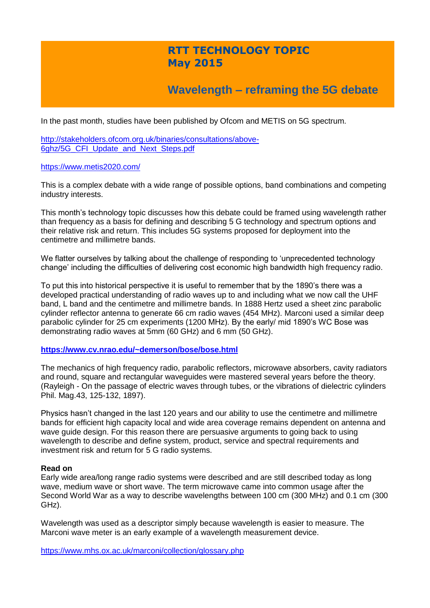## **RTT TECHNOLOGY TOPIC May 2015**

# **Wavelength – reframing the 5G debate**

In the past month, studies have been published by Ofcom and METIS on 5G spectrum.

[http://stakeholders.ofcom.org.uk/binaries/consultations/above-](http://stakeholders.ofcom.org.uk/binaries/consultations/above-6ghz/5G_CFI_Update_and_Next_Steps.pdf)[6ghz/5G\\_CFI\\_Update\\_and\\_Next\\_Steps.pdf](http://stakeholders.ofcom.org.uk/binaries/consultations/above-6ghz/5G_CFI_Update_and_Next_Steps.pdf)

#### <https://www.metis2020.com/>

This is a complex debate with a wide range of possible options, band combinations and competing industry interests.

This month's technology topic discusses how this debate could be framed using wavelength rather than frequency as a basis for defining and describing 5 G technology and spectrum options and their relative risk and return. This includes 5G systems proposed for deployment into the centimetre and millimetre bands.

We flatter ourselves by talking about the challenge of responding to 'unprecedented technology change' including the difficulties of delivering cost economic high bandwidth high frequency radio.

To put this into historical perspective it is useful to remember that by the 1890's there was a developed practical understanding of radio waves up to and including what we now call the UHF band, L band and the centimetre and millimetre bands. In 1888 Hertz used a sheet zinc parabolic cylinder reflector antenna to generate 66 cm radio waves (454 MHz). Marconi used a similar deep parabolic cylinder for 25 cm experiments (1200 MHz). By the early/ mid 1890's WC Bose was demonstrating radio waves at 5mm (60 GHz) and 6 mm (50 GHz).

### **<https://www.cv.nrao.edu/~demerson/bose/bose.html>**

The mechanics of high frequency radio, parabolic reflectors, microwave absorbers, cavity radiators and round, square and rectangular waveguides were mastered several years before the theory. (Rayleigh - On the passage of electric waves through tubes, or the vibrations of dielectric cylinders Phil. Mag.43, 125-132, 1897).

Physics hasn't changed in the last 120 years and our ability to use the centimetre and millimetre bands for efficient high capacity local and wide area coverage remains dependent on antenna and wave guide design. For this reason there are persuasive arguments to going back to using wavelength to describe and define system, product, service and spectral requirements and investment risk and return for 5 G radio systems.

### **Read on**

Early wide area/long range radio systems were described and are still described today as long wave, medium wave or short wave. The term microwave came into common usage after the Second World War as a way to describe wavelengths between 100 cm (300 MHz) and 0.1 cm (300 GHz).

Wavelength was used as a descriptor simply because wavelength is easier to measure. The Marconi wave meter is an early example of a wavelength measurement device.

<https://www.mhs.ox.ac.uk/marconi/collection/glossary.php>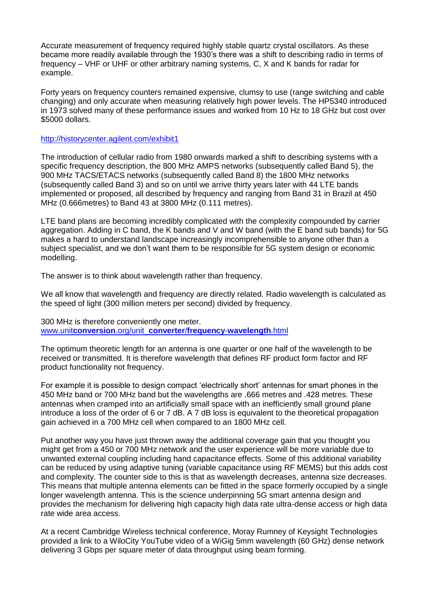Accurate measurement of frequency required highly stable quartz crystal oscillators. As these became more readily available through the 1930's there was a shift to describing radio in terms of frequency – VHF or UHF or other arbitrary naming systems, C, X and K bands for radar for example.

Forty years on frequency counters remained expensive, clumsy to use (range switching and cable changing) and only accurate when measuring relatively high power levels. The HP5340 introduced in 1973 solved many of these performance issues and worked from 10 Hz to 18 GHz but cost over \$5000 dollars.

## <http://historycenter.agilent.com/exhibit1>

The introduction of cellular radio from 1980 onwards marked a shift to describing systems with a specific frequency description, the 800 MHz AMPS networks (subsequently called Band 5), the 900 MHz TACS/ETACS networks (subsequently called Band 8) the 1800 MHz networks (subsequently called Band 3) and so on until we arrive thirty years later with 44 LTE bands implemented or proposed, all described by frequency and ranging from Band 31 in Brazil at 450 MHz (0.666metres) to Band 43 at 3800 MHz (0.111 metres).

LTE band plans are becoming incredibly complicated with the complexity compounded by carrier aggregation. Adding in C band, the K bands and V and W band (with the E band sub bands) for 5G makes a hard to understand landscape increasingly incomprehensible to anyone other than a subject specialist, and we don't want them to be responsible for 5G system design or economic modelling.

The answer is to think about wavelength rather than frequency.

We all know that wavelength and frequency are directly related. Radio wavelength is calculated as the speed of light (300 million meters per second) divided by frequency.

300 MHz is therefore conveniently one meter. www.unit**conversion**.org/unit\_**converter**/**frequency**-**[wavelength](http://www.unitconversion.org/unit_converter/frequency-wavelength.html)**.html

The optimum theoretic length for an antenna is one quarter or one half of the wavelength to be received or transmitted. It is therefore wavelength that defines RF product form factor and RF product functionality not frequency.

For example it is possible to design compact 'electrically short' antennas for smart phones in the 450 MHz band or 700 MHz band but the wavelengths are .666 metres and .428 metres. These antennas when cramped into an artificially small space with an inefficiently small ground plane introduce a loss of the order of 6 or 7 dB. A 7 dB loss is equivalent to the theoretical propagation gain achieved in a 700 MHz cell when compared to an 1800 MHz cell.

Put another way you have just thrown away the additional coverage gain that you thought you might get from a 450 or 700 MHz network and the user experience will be more variable due to unwanted external coupling including hand capacitance effects. Some of this additional variability can be reduced by using adaptive tuning (variable capacitance using RF MEMS) but this adds cost and complexity. The counter side to this is that as wavelength decreases, antenna size decreases. This means that multiple antenna elements can be fitted in the space formerly occupied by a single longer wavelength antenna. This is the science underpinning 5G smart antenna design and provides the mechanism for delivering high capacity high data rate ultra-dense access or high data rate wide area access.

At a recent Cambridge Wireless technical conference, Moray Rumney of Keysight Technologies provided a link to a WiloCity YouTube video of a WiGig 5mm wavelength (60 GHz) dense network delivering 3 Gbps per square meter of data throughput using beam forming.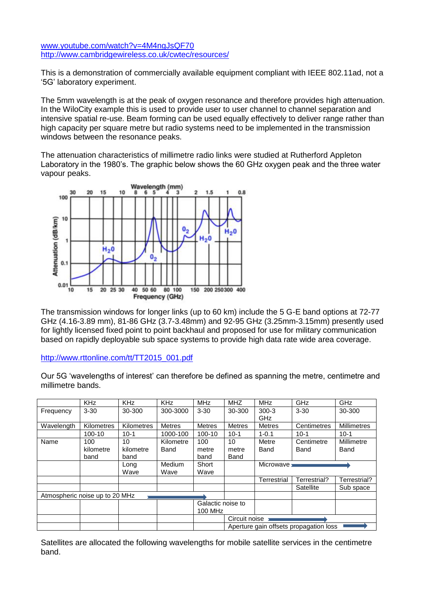## [www.youtube.com/watch?v=4M4ngJsQF70](http://www.youtube.com/watch?v=4M4ngJsQF70) <http://www.cambridgewireless.co.uk/cwtec/resources/>

This is a demonstration of commercially available equipment compliant with IEEE 802.11ad, not a '5G' laboratory experiment.

The 5mm wavelength is at the peak of oxygen resonance and therefore provides high attenuation. In the WiloCity example this is used to provide user to user channel to channel separation and intensive spatial re-use. Beam forming can be used equally effectively to deliver range rather than high capacity per square metre but radio systems need to be implemented in the transmission windows between the resonance peaks.

The attenuation characteristics of millimetre radio links were studied at Rutherford Appleton Laboratory in the 1980's. The graphic below shows the 60 GHz oxygen peak and the three water vapour peaks.



The transmission windows for longer links (up to 60 km) include the 5 G-E band options at 72-77 GHz (4.16-3.89 mm), 81-86 GHz (3.7-3.48mm) and 92-95 GHz (3.25mm-3.15mm) presently used for lightly licensed fixed point to point backhaul and proposed for use for military communication based on rapidly deployable sub space systems to provide high data rate wide area coverage.

## [http://www.rttonline.com/tt/TT2015\\_001.pdf](http://www.rttonline.com/tt/TT2015_001.pdf)

Our 5G 'wavelengths of interest' can therefore be defined as spanning the metre, centimetre and millimetre bands.

|                                | <b>KHz</b> | KHz               | <b>KHz</b>    | <b>MHz</b>        | <b>MHZ</b>                             | <b>MHz</b>         | GHz          | GHz                |
|--------------------------------|------------|-------------------|---------------|-------------------|----------------------------------------|--------------------|--------------|--------------------|
| Frequency                      | $3 - 30$   | 30-300            | 300-3000      | $3 - 30$          | 30-300                                 | $300 - 3$          | $3 - 30$     | 30-300             |
|                                |            |                   |               |                   |                                        | GHz                |              |                    |
| Wavelength                     | Kilometres | <b>Kilometres</b> | <b>Metres</b> | <b>Metres</b>     | <b>Metres</b>                          | <b>Metres</b>      | Centimetres  | <b>Millimetres</b> |
|                                | 100-10     | $10-1$            | 1000-100      | 100-10            | $10-1$                                 | $1 - 0.1$          | $10-1$       | $10-1$             |
| Name                           | 100        | 10                | Kilometre     | 100               | 10                                     | Metre              | Centimetre   | Millimetre         |
|                                | kilometre  | kilometre         | Band          | metre             | metre                                  | Band               | Band         | Band               |
|                                | band       | band              |               | band              | Band                                   |                    |              |                    |
|                                |            | Long              | Medium        | Short             |                                        | Microwave <b>x</b> |              |                    |
|                                |            | Wave              | Wave          | Wave              |                                        |                    |              |                    |
|                                |            |                   |               |                   |                                        | Terrestrial        | Terrestrial? | Terrestrial?       |
|                                |            |                   |               |                   |                                        |                    | Satellite    | Sub space          |
| Atmospheric noise up to 20 MHz |            |                   |               |                   |                                        |                    |              |                    |
|                                |            |                   |               | Galactic noise to |                                        |                    |              |                    |
|                                |            |                   |               | 100 MHz           |                                        |                    |              |                    |
|                                |            |                   |               |                   | Circuit noise                          |                    |              |                    |
|                                |            |                   |               |                   | Aperture gain offsets propagation loss |                    |              |                    |

Satellites are allocated the following wavelengths for mobile satellite services in the centimetre band.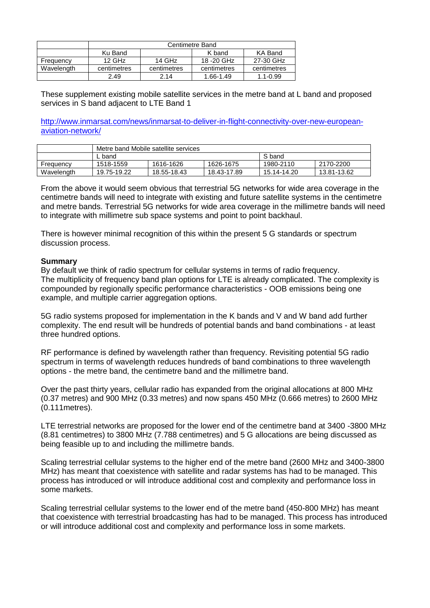|            | <b>Centimetre Band</b> |             |             |              |  |  |  |
|------------|------------------------|-------------|-------------|--------------|--|--|--|
|            | Ku Band                |             | K band      | KA Band      |  |  |  |
| Frequency  | $12$ GHz               | 14 GHz      | 18 - 20 GHz | 27-30 GHz    |  |  |  |
| Wavelength | centimetres            | centimetres | centimetres | centimetres  |  |  |  |
|            | 2.49                   | 2.14        | 1.66-1.49   | $1.1 - 0.99$ |  |  |  |

These supplement existing mobile satellite services in the metre band at L band and proposed services in S band adjacent to LTE Band 1

[http://www.inmarsat.com/news/inmarsat-to-deliver-in-flight-connectivity-over-new-european](http://www.inmarsat.com/news/inmarsat-to-deliver-in-flight-connectivity-over-new-european-aviation-network/)[aviation-network/](http://www.inmarsat.com/news/inmarsat-to-deliver-in-flight-connectivity-over-new-european-aviation-network/)

|            | Metre band Mobile satellite services |             |             |             |             |  |  |
|------------|--------------------------------------|-------------|-------------|-------------|-------------|--|--|
|            | band                                 |             | S band      |             |             |  |  |
| Frequency  | 1518-1559                            | 1616-1626   | 1626-1675   | 1980-2110   | 2170-2200   |  |  |
| Wavelength | 19.75-19.22                          | 18.55-18.43 | 18.43-17.89 | 15.14-14.20 | 13.81-13.62 |  |  |

From the above it would seem obvious that terrestrial 5G networks for wide area coverage in the centimetre bands will need to integrate with existing and future satellite systems in the centimetre and metre bands. Terrestrial 5G networks for wide area coverage in the millimetre bands will need to integrate with millimetre sub space systems and point to point backhaul.

There is however minimal recognition of this within the present 5 G standards or spectrum discussion process.

### **Summary**

By default we think of radio spectrum for cellular systems in terms of radio frequency. The multiplicity of frequency band plan options for LTE is already complicated. The complexity is compounded by regionally specific performance characteristics - OOB emissions being one example, and multiple carrier aggregation options.

5G radio systems proposed for implementation in the K bands and V and W band add further complexity. The end result will be hundreds of potential bands and band combinations - at least three hundred options.

RF performance is defined by wavelength rather than frequency. Revisiting potential 5G radio spectrum in terms of wavelength reduces hundreds of band combinations to three wavelength options - the metre band, the centimetre band and the millimetre band.

Over the past thirty years, cellular radio has expanded from the original allocations at 800 MHz (0.37 metres) and 900 MHz (0.33 metres) and now spans 450 MHz (0.666 metres) to 2600 MHz (0.111metres).

LTE terrestrial networks are proposed for the lower end of the centimetre band at 3400 -3800 MHz (8.81 centimetres) to 3800 MHz (7.788 centimetres) and 5 G allocations are being discussed as being feasible up to and including the millimetre bands.

Scaling terrestrial cellular systems to the higher end of the metre band (2600 MHz and 3400-3800 MHz) has meant that coexistence with satellite and radar systems has had to be managed. This process has introduced or will introduce additional cost and complexity and performance loss in some markets.

Scaling terrestrial cellular systems to the lower end of the metre band (450-800 MHz) has meant that coexistence with terrestrial broadcasting has had to be managed. This process has introduced or will introduce additional cost and complexity and performance loss in some markets.